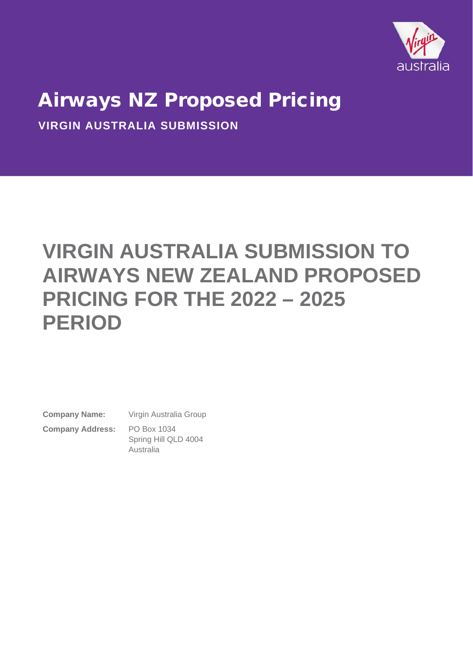

**VIRGIN AUSTRALIA SUBMISSION**

# **VIRGIN AUSTRALIA SUBMISSION TO AIRWAYS NEW ZEALAND PROPOSED PRICING FOR THE 2022 – 2025 PERIOD**

**Company Name:** Virgin Australia Group **Company Address:** PO Box 1034

Spring Hill QLD 4004 Australia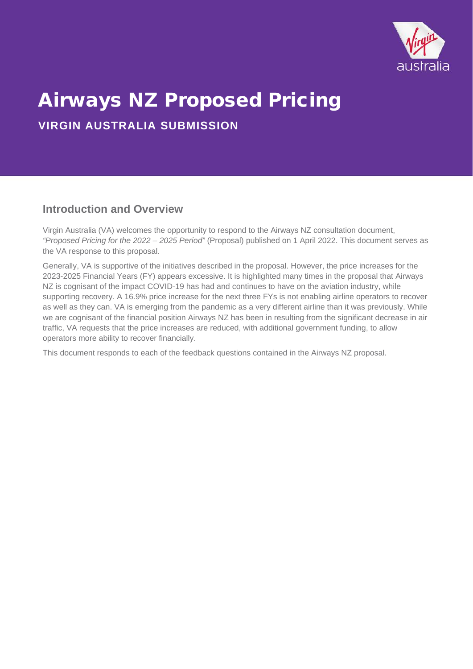

**VIRGIN AUSTRALIA SUBMISSION**

### **Introduction and Overview**

Virgin Australia (VA) welcomes the opportunity to respond to the Airways NZ consultation document, *"Proposed Pricing for the 2022 – 2025 Period"* (Proposal) published on 1 April 2022. This document serves as the VA response to this proposal.

Generally, VA is supportive of the initiatives described in the proposal. However, the price increases for the 2023-2025 Financial Years (FY) appears excessive. It is highlighted many times in the proposal that Airways NZ is cognisant of the impact COVID-19 has had and continues to have on the aviation industry, while supporting recovery. A 16.9% price increase for the next three FYs is not enabling airline operators to recover as well as they can. VA is emerging from the pandemic as a very different airline than it was previously. While we are cognisant of the financial position Airways NZ has been in resulting from the significant decrease in air traffic, VA requests that the price increases are reduced, with additional government funding, to allow operators more ability to recover financially.

This document responds to each of the feedback questions contained in the Airways NZ proposal.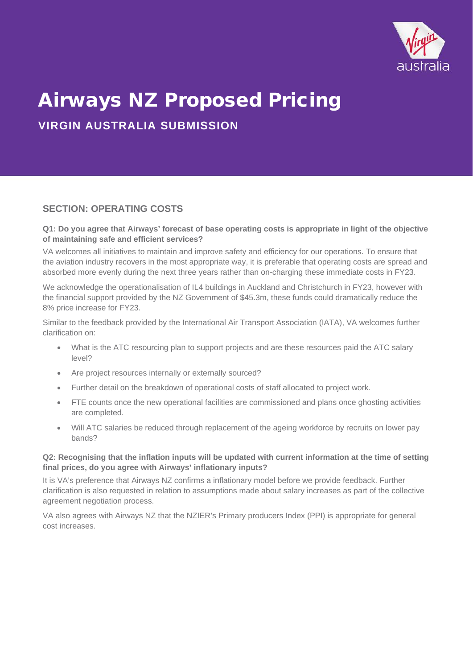

**VIRGIN AUSTRALIA SUBMISSION**

### **SECTION: OPERATING COSTS**

#### **Q1: Do you agree that Airways' forecast of base operating costs is appropriate in light of the objective of maintaining safe and efficient services?**

VA welcomes all initiatives to maintain and improve safety and efficiency for our operations. To ensure that the aviation industry recovers in the most appropriate way, it is preferable that operating costs are spread and absorbed more evenly during the next three years rather than on-charging these immediate costs in FY23.

We acknowledge the operationalisation of IL4 buildings in Auckland and Christchurch in FY23, however with the financial support provided by the NZ Government of \$45.3m, these funds could dramatically reduce the 8% price increase for FY23.

Similar to the feedback provided by the International Air Transport Association (IATA), VA welcomes further clarification on:

- What is the ATC resourcing plan to support projects and are these resources paid the ATC salary level?
- Are project resources internally or externally sourced?
- Further detail on the breakdown of operational costs of staff allocated to project work.
- FTE counts once the new operational facilities are commissioned and plans once ghosting activities are completed.
- Will ATC salaries be reduced through replacement of the ageing workforce by recruits on lower pay bands?

#### **Q2: Recognising that the inflation inputs will be updated with current information at the time of setting final prices, do you agree with Airways' inflationary inputs?**

It is VA's preference that Airways NZ confirms a inflationary model before we provide feedback. Further clarification is also requested in relation to assumptions made about salary increases as part of the collective agreement negotiation process.

VA also agrees with Airways NZ that the NZIER's Primary producers Index (PPI) is appropriate for general cost increases.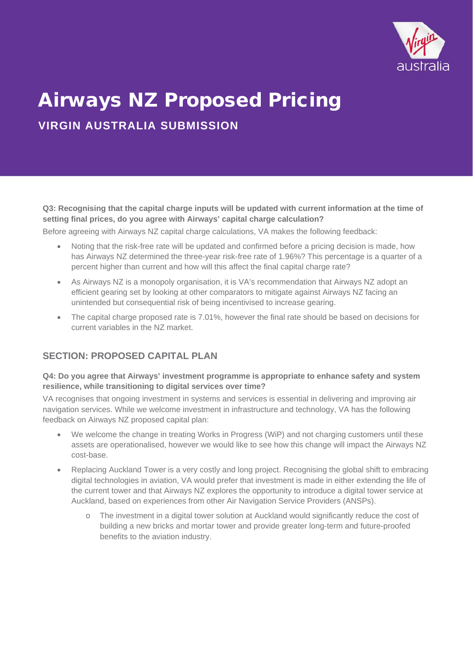

**VIRGIN AUSTRALIA SUBMISSION**

**Q3: Recognising that the capital charge inputs will be updated with current information at the time of setting final prices, do you agree with Airways' capital charge calculation?**

Before agreeing with Airways NZ capital charge calculations, VA makes the following feedback:

- Noting that the risk-free rate will be updated and confirmed before a pricing decision is made, how has Airways NZ determined the three-year risk-free rate of 1.96%? This percentage is a quarter of a percent higher than current and how will this affect the final capital charge rate?
- As Airways NZ is a monopoly organisation, it is VA's recommendation that Airways NZ adopt an efficient gearing set by looking at other comparators to mitigate against Airways NZ facing an unintended but consequential risk of being incentivised to increase gearing.
- The capital charge proposed rate is 7.01%, however the final rate should be based on decisions for current variables in the NZ market.

### **SECTION: PROPOSED CAPITAL PLAN**

#### **Q4: Do you agree that Airways' investment programme is appropriate to enhance safety and system resilience, while transitioning to digital services over time?**

VA recognises that ongoing investment in systems and services is essential in delivering and improving air navigation services. While we welcome investment in infrastructure and technology, VA has the following feedback on Airways NZ proposed capital plan:

- We welcome the change in treating Works in Progress (WiP) and not charging customers until these assets are operationalised, however we would like to see how this change will impact the Airways NZ cost-base.
- Replacing Auckland Tower is a very costly and long project. Recognising the global shift to embracing digital technologies in aviation, VA would prefer that investment is made in either extending the life of the current tower and that Airways NZ explores the opportunity to introduce a digital tower service at Auckland, based on experiences from other Air Navigation Service Providers (ANSPs).
	- o The investment in a digital tower solution at Auckland would significantly reduce the cost of building a new bricks and mortar tower and provide greater long-term and future-proofed benefits to the aviation industry.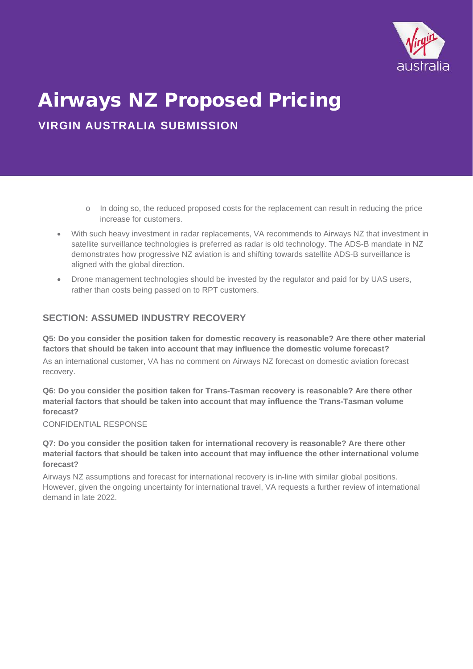

**VIRGIN AUSTRALIA SUBMISSION**

- o In doing so, the reduced proposed costs for the replacement can result in reducing the price increase for customers.
- With such heavy investment in radar replacements, VA recommends to Airways NZ that investment in satellite surveillance technologies is preferred as radar is old technology. The ADS-B mandate in NZ demonstrates how progressive NZ aviation is and shifting towards satellite ADS-B surveillance is aligned with the global direction.
- Drone management technologies should be invested by the regulator and paid for by UAS users, rather than costs being passed on to RPT customers.

### **SECTION: ASSUMED INDUSTRY RECOVERY**

**Q5: Do you consider the position taken for domestic recovery is reasonable? Are there other material factors that should be taken into account that may influence the domestic volume forecast?**

As an international customer, VA has no comment on Airways NZ forecast on domestic aviation forecast recovery.

**Q6: Do you consider the position taken for Trans-Tasman recovery is reasonable? Are there other material factors that should be taken into account that may influence the Trans-Tasman volume forecast?**

CONFIDENTIAL RESPONSE

**Q7: Do you consider the position taken for international recovery is reasonable? Are there other material factors that should be taken into account that may influence the other international volume forecast?**

Airways NZ assumptions and forecast for international recovery is in-line with similar global positions. However, given the ongoing uncertainty for international travel, VA requests a further review of international demand in late 2022.